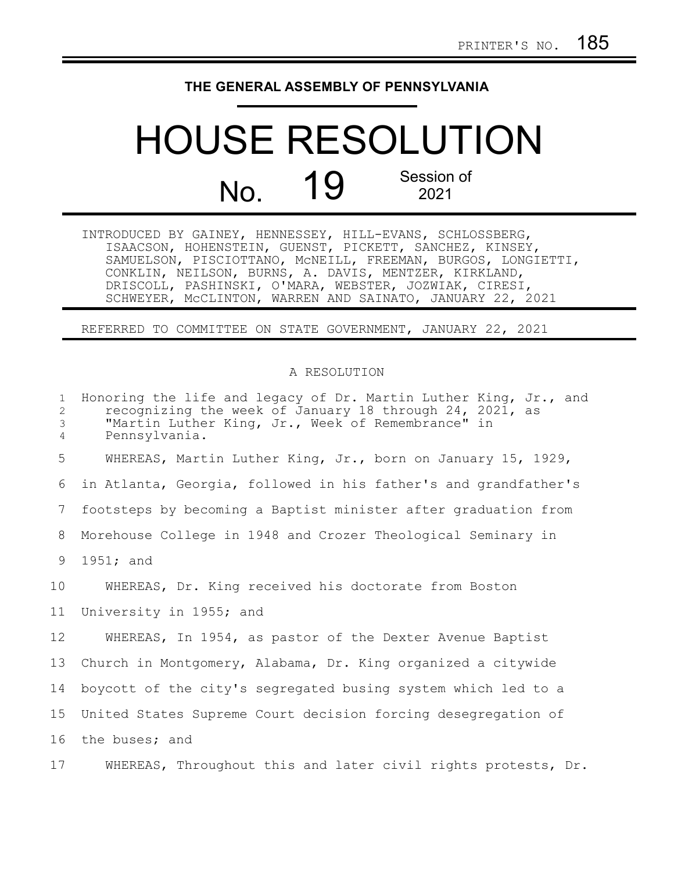## **THE GENERAL ASSEMBLY OF PENNSYLVANIA**

## HOUSE RESOLUTION No. **19** Session of 2021

| INTRODUCED BY GAINEY, HENNESSEY, HILL-EVANS, SCHLOSSBERG, |  |                                                              |  |
|-----------------------------------------------------------|--|--------------------------------------------------------------|--|
|                                                           |  | ISAACSON, HOHENSTEIN, GUENST, PICKETT, SANCHEZ, KINSEY,      |  |
|                                                           |  | SAMUELSON, PISCIOTTANO, MCNEILL, FREEMAN, BURGOS, LONGIETTI, |  |
|                                                           |  | CONKLIN, NEILSON, BURNS, A. DAVIS, MENTZER, KIRKLAND,        |  |
|                                                           |  | DRISCOLL, PASHINSKI, O'MARA, WEBSTER, JOZWIAK, CIRESI,       |  |
|                                                           |  | SCHWEYER, MCCLINTON, WARREN AND SAINATO, JANUARY 22, 2021    |  |

REFERRED TO COMMITTEE ON STATE GOVERNMENT, JANUARY 22, 2021

## A RESOLUTION

| $\mathbf{1}$<br>2<br>3<br>$\overline{4}$ | Honoring the life and legacy of Dr. Martin Luther King, Jr., and<br>recognizing the week of January 18 through 24, 2021, as<br>"Martin Luther King, Jr., Week of Remembrance" in<br>Pennsylvania. |
|------------------------------------------|---------------------------------------------------------------------------------------------------------------------------------------------------------------------------------------------------|
| 5                                        | WHEREAS, Martin Luther King, Jr., born on January 15, 1929,                                                                                                                                       |
| 6                                        | in Atlanta, Georgia, followed in his father's and grandfather's                                                                                                                                   |
| 7                                        | footsteps by becoming a Baptist minister after graduation from                                                                                                                                    |
| 8                                        | Morehouse College in 1948 and Crozer Theological Seminary in                                                                                                                                      |
| 9                                        | 1951; and                                                                                                                                                                                         |
| 10 <sub>o</sub>                          | WHEREAS, Dr. King received his doctorate from Boston                                                                                                                                              |
| 11                                       | University in 1955; and                                                                                                                                                                           |
| 12                                       | WHEREAS, In 1954, as pastor of the Dexter Avenue Baptist                                                                                                                                          |
| 13                                       | Church in Montgomery, Alabama, Dr. King organized a citywide                                                                                                                                      |
| 14                                       | boycott of the city's segregated busing system which led to a                                                                                                                                     |
| 15                                       | United States Supreme Court decision forcing desegregation of                                                                                                                                     |
| 16                                       | the buses; and                                                                                                                                                                                    |
| 17                                       | WHEREAS, Throughout this and later civil rights protests, Dr.                                                                                                                                     |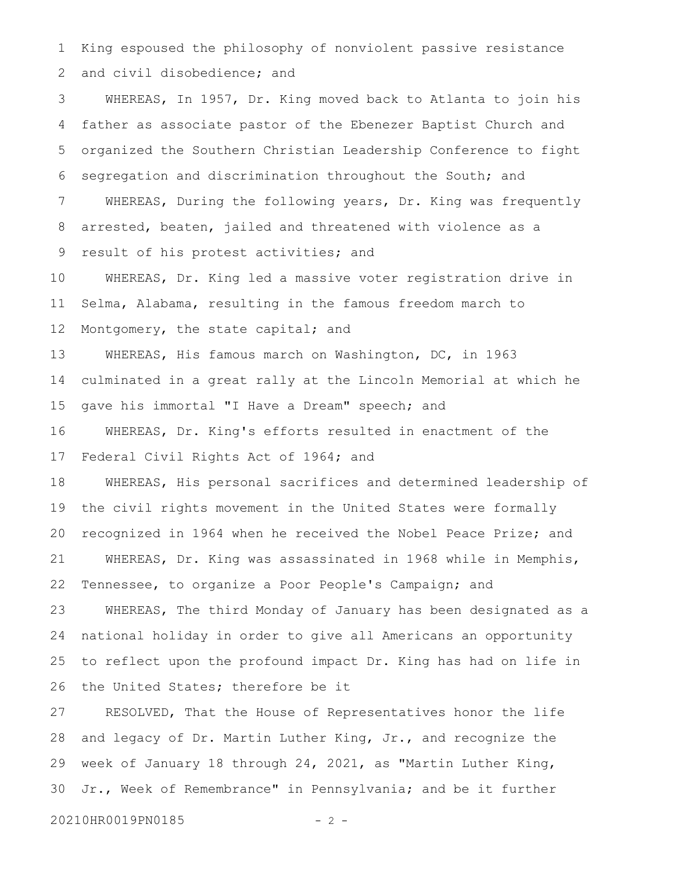King espoused the philosophy of nonviolent passive resistance and civil disobedience; and 1 2

WHEREAS, In 1957, Dr. King moved back to Atlanta to join his father as associate pastor of the Ebenezer Baptist Church and organized the Southern Christian Leadership Conference to fight segregation and discrimination throughout the South; and WHEREAS, During the following years, Dr. King was frequently arrested, beaten, jailed and threatened with violence as a result of his protest activities; and 3 4 5 6 7 8 9

WHEREAS, Dr. King led a massive voter registration drive in Selma, Alabama, resulting in the famous freedom march to Montgomery, the state capital; and 10 11 12

WHEREAS, His famous march on Washington, DC, in 1963 culminated in a great rally at the Lincoln Memorial at which he gave his immortal "I Have a Dream" speech; and 13 14 15

WHEREAS, Dr. King's efforts resulted in enactment of the Federal Civil Rights Act of 1964; and 16 17

WHEREAS, His personal sacrifices and determined leadership of the civil rights movement in the United States were formally recognized in 1964 when he received the Nobel Peace Prize; and WHEREAS, Dr. King was assassinated in 1968 while in Memphis, Tennessee, to organize a Poor People's Campaign; and 18 19 20 21 22

WHEREAS, The third Monday of January has been designated as a national holiday in order to give all Americans an opportunity to reflect upon the profound impact Dr. King has had on life in the United States; therefore be it 23 24 25 26

RESOLVED, That the House of Representatives honor the life and legacy of Dr. Martin Luther King, Jr., and recognize the week of January 18 through 24, 2021, as "Martin Luther King, Jr., Week of Remembrance" in Pennsylvania; and be it further 27 28 29 30

20210HR0019PN0185 - 2 -